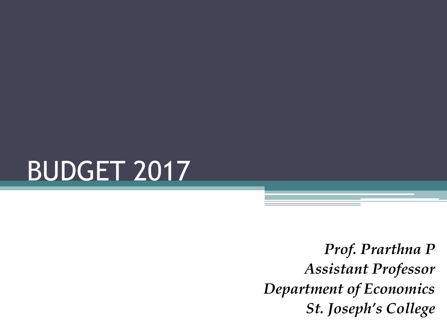

*Prof. Prarthna P Assistant Professor Department of Economics St. Joseph's College*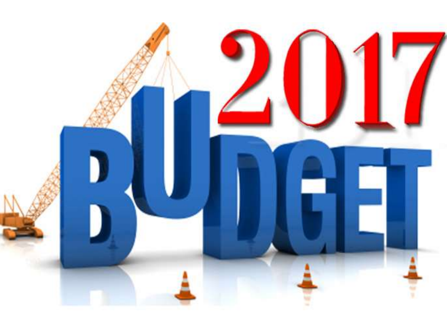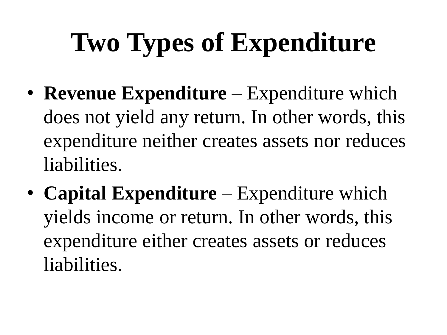# **Two Types of Expenditure**

- **Revenue Expenditure**  Expenditure which does not yield any return. In other words, this expenditure neither creates assets nor reduces liabilities.
- **Capital Expenditure**  Expenditure which yields income or return. In other words, this expenditure either creates assets or reduces liabilities.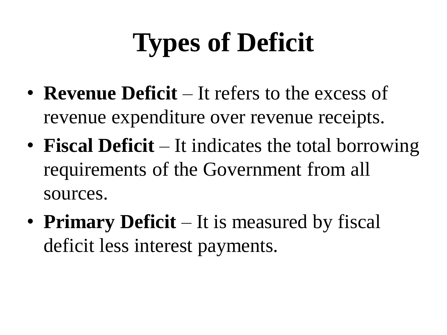## **Types of Deficit**

- **Revenue Deficit** It refers to the excess of revenue expenditure over revenue receipts.
- **Fiscal Deficit** It indicates the total borrowing requirements of the Government from all sources.
- **Primary Deficit** It is measured by fiscal deficit less interest payments.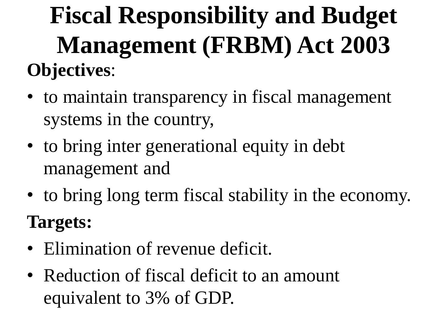**Fiscal Responsibility and Budget Management (FRBM) Act 2003 Objectives**:

- to maintain transparency in fiscal management systems in the country,
- to bring inter generational equity in debt management and
- to bring long term fiscal stability in the economy. **Targets:**
- Elimination of revenue deficit.
- Reduction of fiscal deficit to an amount equivalent to 3% of GDP.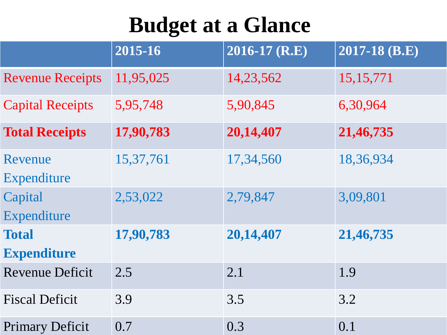### **Budget at a Glance**

|                                    | 2015-16   | 2016-17 (R.E) | 2017-18 (B.E) |
|------------------------------------|-----------|---------------|---------------|
| <b>Revenue Receipts</b>            | 11,95,025 | 14,23,562     | 15, 15, 771   |
| <b>Capital Receipts</b>            | 5,95,748  | 5,90,845      | 6,30,964      |
| <b>Total Receipts</b>              | 17,90,783 | 20,14,407     | 21,46,735     |
| Revenue<br>Expenditure             | 15,37,761 | 17,34,560     | 18,36,934     |
| Capital<br>Expenditure             | 2,53,022  | 2,79,847      | 3,09,801      |
| <b>Total</b><br><b>Expenditure</b> | 17,90,783 | 20,14,407     | 21,46,735     |
| <b>Revenue Deficit</b>             | 2.5       | 2.1           | 1.9           |
| <b>Fiscal Deficit</b>              | 3.9       | 3.5           | 3.2           |
| <b>Primary Deficit</b>             | 0.7       | 0.3           | 0.1           |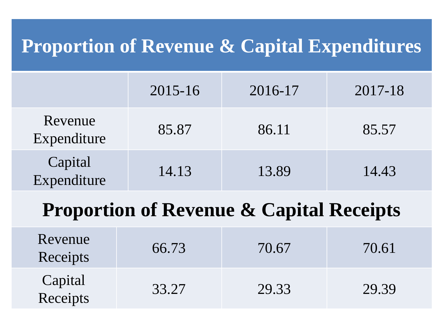#### **Proportion of Revenue & Capital Expenditures**

|                        | $2015 - 16$ | 2016-17 | 2017-18 |
|------------------------|-------------|---------|---------|
| Revenue<br>Expenditure | 85.87       | 86.11   | 85.57   |
| Capital<br>Expenditure | 14.13       | 13.89   | 14.43   |

#### **Proportion of Revenue & Capital Receipts**

| Revenue<br>Receipts | 66.73 | 70.67 | 70.61 |
|---------------------|-------|-------|-------|
| Capital<br>Receipts | 33.27 | 29.33 | 29.39 |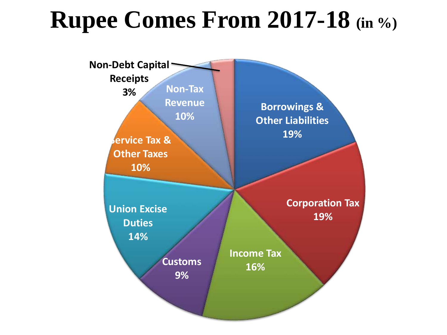### **Rupee Comes From 2017-18 (in %)**